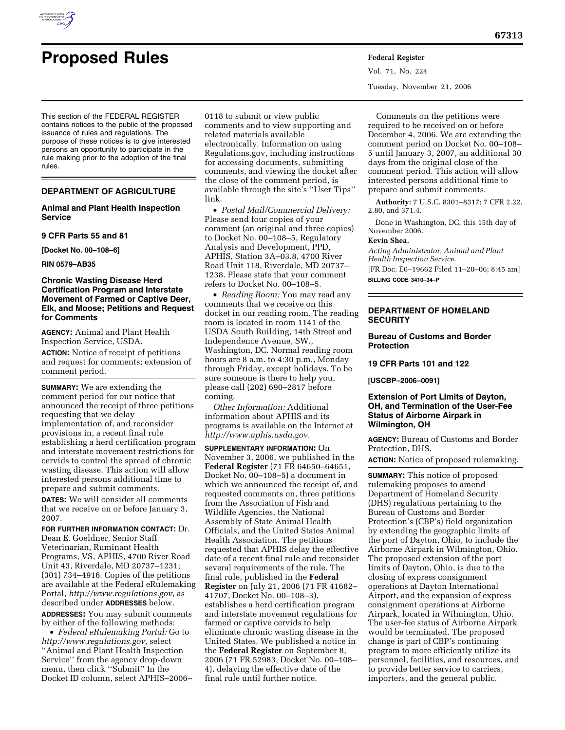

rules.

# **Proposed Rules Federal Register**

This section of the FEDERAL REGISTER contains notices to the public of the proposed issuance of rules and regulations. The purpose of these notices is to give interested persons an opportunity to participate in the

## **DEPARTMENT OF AGRICULTURE**

rule making prior to the adoption of the final

#### **Animal and Plant Health Inspection Service**

**9 CFR Parts 55 and 81** 

**[Docket No. 00–108–6]** 

**RIN 0579–AB35** 

## **Chronic Wasting Disease Herd Certification Program and Interstate Movement of Farmed or Captive Deer, Elk, and Moose; Petitions and Request for Comments**

**AGENCY:** Animal and Plant Health Inspection Service, USDA.

**ACTION:** Notice of receipt of petitions and request for comments; extension of comment period.

**SUMMARY:** We are extending the comment period for our notice that announced the receipt of three petitions requesting that we delay implementation of, and reconsider provisions in, a recent final rule establishing a herd certification program and interstate movement restrictions for cervids to control the spread of chronic wasting disease. This action will allow interested persons additional time to prepare and submit comments.

**DATES:** We will consider all comments that we receive on or before January 3, 2007.

**FOR FURTHER INFORMATION CONTACT:** Dr.

Dean E. Goeldner, Senior Staff Veterinarian, Ruminant Health Programs, VS, APHIS, 4700 River Road Unit 43, Riverdale, MD 20737–1231; (301) 734–4916. Copies of the petitions are available at the Federal eRulemaking Portal, *http://www.regulations.gov*, as described under **ADDRESSES** below.

**ADDRESSES:** You may submit comments by either of the following methods:

• *Federal eRulemaking Portal:* Go to *http://www.regulations.gov*, select ''Animal and Plant Health Inspection Service'' from the agency drop-down menu, then click ''Submit'' In the Docket ID column, select APHIS–2006–

0118 to submit or view public comments and to view supporting and related materials available electronically. Information on using Regulations.gov, including instructions for accessing documents, submitting comments, and viewing the docket after the close of the comment period, is available through the site's ''User Tips'' link.

• *Postal Mail/Commercial Delivery:*  Please send four copies of your comment (an original and three copies) to Docket No. 00–108–5, Regulatory Analysis and Development, PPD, APHIS, Station 3A–03.8, 4700 River Road Unit 118, Riverdale, MD 20737– 1238. Please state that your comment refers to Docket No. 00–108–5.

• *Reading Room:* You may read any comments that we receive on this docket in our reading room. The reading room is located in room 1141 of the USDA South Building, 14th Street and Independence Avenue, SW., Washington, DC. Normal reading room hours are 8 a.m. to 4:30 p.m., Monday through Friday, except holidays. To be sure someone is there to help you, please call (202) 690–2817 before coming.

*Other Information:* Additional information about APHIS and its programs is available on the Internet at *http://www.aphis.usda.gov.* 

**SUPPLEMENTARY INFORMATION:** On November 3, 2006, we published in the **Federal Register** (71 FR 64650–64651, Docket No. 00–108–5) a document in which we announced the receipt of, and requested comments on, three petitions from the Association of Fish and Wildlife Agencies, the National Assembly of State Animal Health Officials, and the United States Animal Health Association. The petitions requested that APHIS delay the effective date of a recent final rule and reconsider several requirements of the rule. The final rule, published in the **Federal Register** on July 21, 2006 (71 FR 41682– 41707, Docket No. 00–108–3), establishes a herd certification program and interstate movement regulations for farmed or captive cervids to help eliminate chronic wasting disease in the United States. We published a notice in the **Federal Register** on September 8, 2006 (71 FR 52983, Docket No. 00–108– 4), delaying the effective date of the final rule until further notice.

Vol. 71, No. 224 Tuesday, November 21, 2006

Comments on the petitions were required to be received on or before December 4, 2006. We are extending the comment period on Docket No. 00–108– 5 until January 3, 2007, an additional 30 days from the original close of the comment period. This action will allow interested persons additional time to prepare and submit comments.

**Authority:** 7 U.S.C. 8301–8317; 7 CFR 2.22, 2.80, and 371.4.

Done in Washington, DC, this 15th day of November 2006.

#### **Kevin Shea,**

*Acting Administrator, Animal and Plant Health Inspection Service.*  [FR Doc. E6–19662 Filed 11–20–06; 8:45 am] **BILLING CODE 3410–34–P** 

# **DEPARTMENT OF HOMELAND SECURITY**

# **Bureau of Customs and Border Protection**

**19 CFR Parts 101 and 122** 

**[USCBP–2006–0091]** 

# **Extension of Port Limits of Dayton, OH, and Termination of the User-Fee Status of Airborne Airpark in Wilmington, OH**

**AGENCY:** Bureau of Customs and Border Protection, DHS.

**ACTION:** Notice of proposed rulemaking.

**SUMMARY:** This notice of proposed rulemaking proposes to amend Department of Homeland Security (DHS) regulations pertaining to the Bureau of Customs and Border Protection's (CBP's) field organization by extending the geographic limits of the port of Dayton, Ohio, to include the Airborne Airpark in Wilmington, Ohio. The proposed extension of the port limits of Dayton, Ohio, is due to the closing of express consignment operations at Dayton International Airport, and the expansion of express consignment operations at Airborne Airpark, located in Wilmington, Ohio. The user-fee status of Airborne Airpark would be terminated. The proposed change is part of CBP's continuing program to more efficiently utilize its personnel, facilities, and resources, and to provide better service to carriers, importers, and the general public.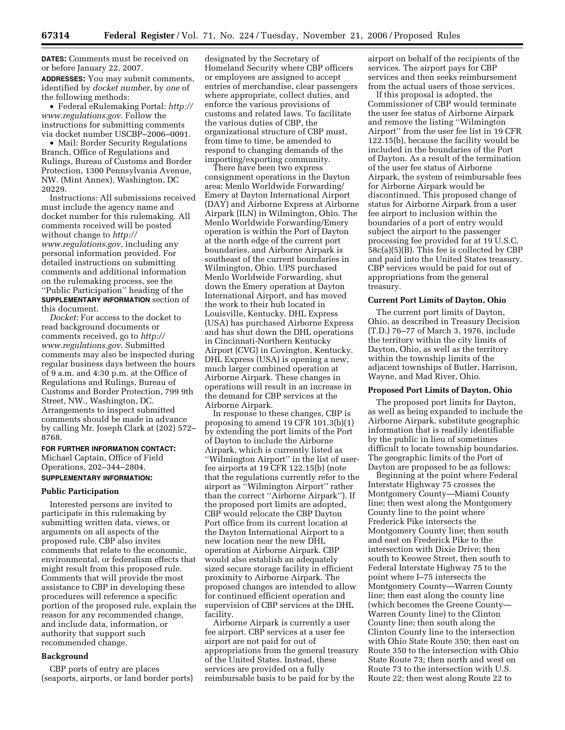**DATES:** Comments must be received on or before January 22, 2007.

**ADDRESSES:** You may submit comments, identified by *docket number*, by *one* of the following methods:

• Federal eRulemaking Portal: *http:// www.regulations.gov*. Follow the instructions for submitting comments via docket number USCBP–2006–0091.

• Mail: Border Security Regulations Branch, Office of Regulations and Rulings, Bureau of Customs and Border Protection, 1300 Pennsylvania Avenue, NW. (Mint Annex), Washington, DC 20229.

Instructions: All submissions received must include the agency name and docket number for this rulemaking. All comments received will be posted without change to *http:// www.regulations.gov*, including any personal information provided. For detailed instructions on submitting comments and additional information on the rulemaking process, see the ''Public Participation'' heading of the **SUPPLEMENTARY INFORMATION** section of this document.

*Docket:* For access to the docket to read background documents or comments received, go to *http:// www.regulations.gov*. Submitted comments may also be inspected during regular business days between the hours of 9 a.m. and 4:30 p.m. at the Office of Regulations and Rulings, Bureau of Customs and Border Protection, 799 9th Street, NW., Washington, DC. Arrangements to inspect submitted comments should be made in advance by calling Mr. Joseph Clark at (202) 572– 8768.

# **FOR FURTHER INFORMATION CONTACT:**

Michael Captain, Office of Field Operations, 202–344–2804.

# **SUPPLEMENTARY INFORMATION:**

#### **Public Participation**

Interested persons are invited to participate in this rulemaking by submitting written data, views, or arguments on all aspects of the proposed rule. CBP also invites comments that relate to the economic, environmental, or federalism effects that might result from this proposed rule. Comments that will provide the most assistance to CBP in developing these procedures will reference a specific portion of the proposed rule, explain the reason for any recommended change, and include data, information, or authority that support such recommended change.

#### **Background**

CBP ports of entry are places (seaports, airports, or land border ports) designated by the Secretary of Homeland Security where CBP officers or employees are assigned to accept entries of merchandise, clear passengers where appropriate, collect duties, and enforce the various provisions of customs and related laws. To facilitate the various duties of CBP, the organizational structure of CBP must, from time to time, be amended to respond to changing demands of the importing/exporting community.

There have been two express consignment operations in the Dayton area: Menlo Worldwide Forwarding/ Emery at Dayton International Airport (DAY) and Airborne Express at Airborne Airpark (ILN) in Wilmington, Ohio. The Menlo Worldwide Forwarding/Emery operation is within the Port of Dayton at the north edge of the current port boundaries, and Airborne Airpark is southeast of the current boundaries in Wilmington, Ohio. UPS purchased Menlo Worldwide Forwarding, shut down the Emery operation at Dayton International Airport, and has moved the work to their hub located in Louisville, Kentucky. DHL Express (USA) has purchased Airborne Express and has shut down the DHL operations in Cincinnati-Northern Kentucky Airport (CVG) in Covington, Kentucky. DHL Express (USA) is opening a new, much larger combined operation at Airborne Airpark. These changes in operations will result in an increase in the demand for CBP services at the Airborne Airpark.

In response to these changes, CBP is proposing to amend 19 CFR 101.3(b)(1) by extending the port limits of the Port of Dayton to include the Airborne Airpark, which is currently listed as ''Wilmington Airport'' in the list of userfee airports at 19 CFR 122.15(b) (note that the regulations currently refer to the airport as ''Wilmington Airport'' rather than the correct ''Airborne Airpark''). If the proposed port limits are adopted, CBP would relocate the CBP Dayton Port office from its current location at the Dayton International Airport to a new location near the new DHL operation at Airborne Airpark. CBP would also establish an adequately sized secure storage facility in efficient proximity to Airborne Airpark. The proposed changes are intended to allow for continued efficient operation and supervision of CBP services at the DHL facility.

Airborne Airpark is currently a user fee airport. CBP services at a user fee airport are not paid for out of appropriations from the general treasury of the United States. Instead, these services are provided on a fully reimbursable basis to be paid for by the

airport on behalf of the recipients of the services. The airport pays for CBP services and then seeks reimbursement from the actual users of those services.

If this proposal is adopted, the Commissioner of CBP would terminate the user fee status of Airborne Airpark and remove the listing ''Wilmington Airport'' from the user fee list in 19 CFR 122.15(b), because the facility would be included in the boundaries of the Port of Dayton. As a result of the termination of the user fee status of Airborne Airpark, the system of reimbursable fees for Airborne Airpark would be discontinued. This proposed change of status for Airborne Airpark from a user fee airport to inclusion within the boundaries of a port of entry would subject the airport to the passenger processing fee provided for at 19 U.S.C. 58c(a)(5)(B). This fee is collected by CBP and paid into the United States treasury. CBP services would be paid for out of appropriations from the general treasury.

#### **Current Port Limits of Dayton, Ohio**

The current port limits of Dayton, Ohio, as described in Treasury Decision (T.D.) 76–77 of March 3, 1976, include the territory within the city limits of Dayton, Ohio, as well as the territory within the township limits of the adjacent townships of Butler, Harrison, Wayne, and Mad River, Ohio.

#### **Proposed Port Limits of Dayton, Ohio**

The proposed port limits for Dayton, as well as being expanded to include the Airborne Airpark, substitute geographic information that is readily identifiable by the public in lieu of sometimes difficult to locate township boundaries. The geographic limits of the Port of Dayton are proposed to be as follows:

Beginning at the point where Federal Interstate Highway 75 crosses the Montgomery County—Miami County line; then west along the Montgomery County line to the point where Frederick Pike intersects the Montgomery County line; then south and east on Frederick Pike to the intersection with Dixie Drive; then south to Keowee Street, then south to Federal Interstate Highway 75 to the point where I–75 intersects the Montgomery County—Warren County line; then east along the county line (which becomes the Greene County— Warren County line) to the Clinton County line; then south along the Clinton County line to the intersection with Ohio State Route 350; then east on Route 350 to the intersection with Ohio State Route 73; then north and west on Route 73 to the intersection with U.S. Route 22; then west along Route 22 to